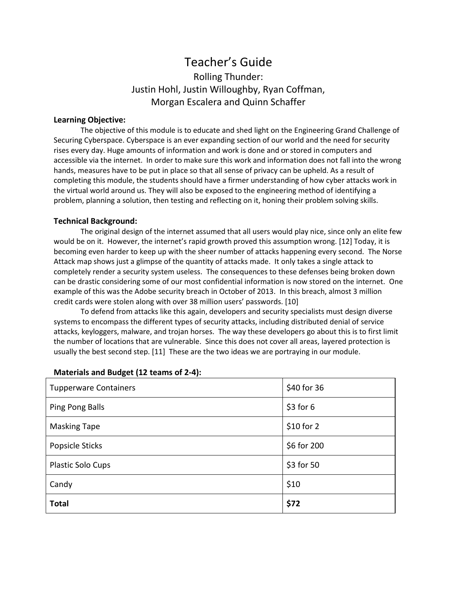# Teacher's Guide Rolling Thunder: Justin Hohl, Justin Willoughby, Ryan Coffman, Morgan Escalera and Quinn Schaffer

#### **Learning Objective:**

The objective of this module is to educate and shed light on the Engineering Grand Challenge of Securing Cyberspace. Cyberspace is an ever expanding section of our world and the need for security rises every day. Huge amounts of information and work is done and or stored in computers and accessible via the internet. In order to make sure this work and information does not fall into the wrong hands, measures have to be put in place so that all sense of privacy can be upheld. As a result of completing this module, the students should have a firmer understanding of how cyber attacks work in the virtual world around us. They will also be exposed to the engineering method of identifying a problem, planning a solution, then testing and reflecting on it, honing their problem solving skills.

#### **Technical Background:**

The original design of the internet assumed that all users would play nice, since only an elite few would be on it. However, the internet's rapid growth proved this assumption wrong. [12] Today, it is becoming even harder to keep up with the sheer number of attacks happening every second. The Norse Attack map shows just a glimpse of the quantity of attacks made. It only takes a single attack to completely render a security system useless. The consequences to these defenses being broken down can be drastic considering some of our most confidential information is now stored on the internet. One example of this was the Adobe security breach in October of 2013. In this breach, almost 3 million credit cards were stolen along with over 38 million users' passwords. [10]

To defend from attacks like this again, developers and security specialists must design diverse systems to encompass the different types of security attacks, including distributed denial of service attacks, keyloggers, malware, and trojan horses. The way these developers go about this is to first limit the number of locations that are vulnerable. Since this does not cover all areas, layered protection is usually the best second step. [11] These are the two ideas we are portraying in our module.

| <b>Tupperware Containers</b> | \$40 for 36 |
|------------------------------|-------------|
| Ping Pong Balls              | $$3$ for 6  |
| <b>Masking Tape</b>          | $$10$ for 2 |
| Popsicle Sticks              | \$6 for 200 |
| Plastic Solo Cups            | \$3 for 50  |
| Candy                        | \$10        |
| <b>Total</b>                 | \$72        |

#### **Materials and Budget (12 teams of 2-4):**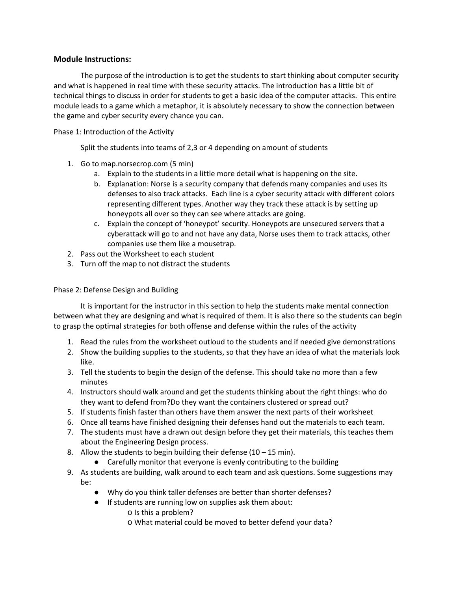#### **Module Instructions:**

The purpose of the introduction is to get the students to start thinking about computer security and what is happened in real time with these security attacks. The introduction has a little bit of technical things to discuss in order for students to get a basic idea of the computer attacks. This entire module leads to a game which a metaphor, it is absolutely necessary to show the connection between the game and cyber security every chance you can.

Phase 1: Introduction of the Activity

Split the students into teams of 2,3 or 4 depending on amount of students

- 1. Go to map.norsecrop.com (5 min)
	- a. Explain to the students in a little more detail what is happening on the site.
	- b. Explanation: Norse is a security company that defends many companies and uses its defenses to also track attacks. Each line is a cyber security attack with different colors representing different types. Another way they track these attack is by setting up honeypots all over so they can see where attacks are going.
	- c. Explain the concept of 'honeypot' security. Honeypots are unsecured servers that a cyberattack will go to and not have any data, Norse uses them to track attacks, other companies use them like a mousetrap.
- 2. Pass out the Worksheet to each student
- 3. Turn off the map to not distract the students

#### Phase 2: Defense Design and Building

It is important for the instructor in this section to help the students make mental connection between what they are designing and what is required of them. It is also there so the students can begin to grasp the optimal strategies for both offense and defense within the rules of the activity

- 1. Read the rules from the worksheet outloud to the students and if needed give demonstrations
- 2. Show the building supplies to the students, so that they have an idea of what the materials look like.
- 3. Tell the students to begin the design of the defense. This should take no more than a few minutes
- 4. Instructors should walk around and get the students thinking about the right things: who do they want to defend from?Do they want the containers clustered or spread out?
- 5. If students finish faster than others have them answer the next parts of their worksheet
- 6. Once all teams have finished designing their defenses hand out the materials to each team.
- 7. The students must have a drawn out design before they get their materials, this teaches them about the Engineering Design process.
- 8. Allow the students to begin building their defense  $(10 15 \text{ min})$ .
	- Carefully monitor that everyone is evenly contributing to the building
- 9. As students are building, walk around to each team and ask questions. Some suggestions may be:
	- Why do you think taller defenses are better than shorter defenses?
	- If students are running low on supplies ask them about:
		- o Is this a problem?
		- o What material could be moved to better defend your data?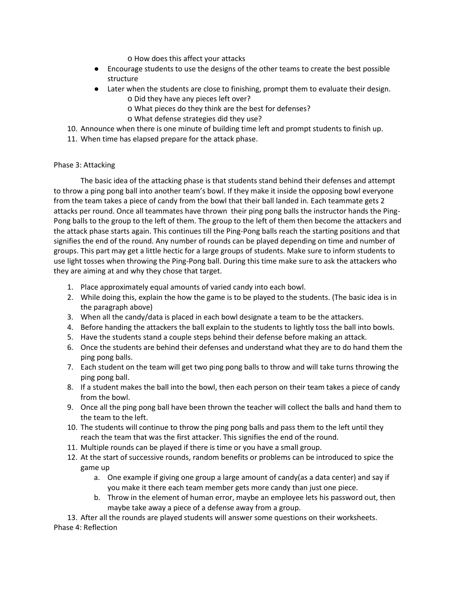o How does this affect your attacks

- Encourage students to use the designs of the other teams to create the best possible structure
- Later when the students are close to finishing, prompt them to evaluate their design. o Did they have any pieces left over?
	- o What pieces do they think are the best for defenses?
	- o What defense strategies did they use?
- 10. Announce when there is one minute of building time left and prompt students to finish up.
- 11. When time has elapsed prepare for the attack phase.

#### Phase 3: Attacking

The basic idea of the attacking phase is that students stand behind their defenses and attempt to throw a ping pong ball into another team's bowl. If they make it inside the opposing bowl everyone from the team takes a piece of candy from the bowl that their ball landed in. Each teammate gets 2 attacks per round. Once all teammates have thrown their ping pong balls the instructor hands the Ping-Pong balls to the group to the left of them. The group to the left of them then become the attackers and the attack phase starts again. This continues till the Ping-Pong balls reach the starting positions and that signifies the end of the round. Any number of rounds can be played depending on time and number of groups. This part may get a little hectic for a large groups of students. Make sure to inform students to use light tosses when throwing the Ping-Pong ball. During this time make sure to ask the attackers who they are aiming at and why they chose that target.

- 1. Place approximately equal amounts of varied candy into each bowl.
- 2. While doing this, explain the how the game is to be played to the students. (The basic idea is in the paragraph above)
- 3. When all the candy/data is placed in each bowl designate a team to be the attackers.
- 4. Before handing the attackers the ball explain to the students to lightly toss the ball into bowls.
- 5. Have the students stand a couple steps behind their defense before making an attack.
- 6. Once the students are behind their defenses and understand what they are to do hand them the ping pong balls.
- 7. Each student on the team will get two ping pong balls to throw and will take turns throwing the ping pong ball.
- 8. If a student makes the ball into the bowl, then each person on their team takes a piece of candy from the bowl.
- 9. Once all the ping pong ball have been thrown the teacher will collect the balls and hand them to the team to the left.
- 10. The students will continue to throw the ping pong balls and pass them to the left until they reach the team that was the first attacker. This signifies the end of the round.
- 11. Multiple rounds can be played if there is time or you have a small group.
- 12. At the start of successive rounds, random benefits or problems can be introduced to spice the game up
	- a. One example if giving one group a large amount of candy(as a data center) and say if you make it there each team member gets more candy than just one piece.
	- b. Throw in the element of human error, maybe an employee lets his password out, then maybe take away a piece of a defense away from a group.

13. After all the rounds are played students will answer some questions on their worksheets. Phase 4: Reflection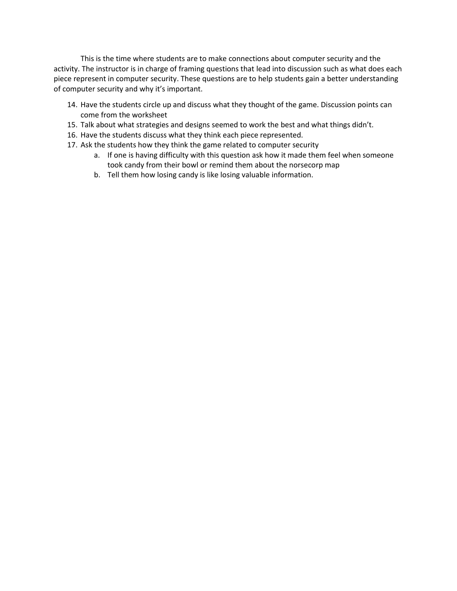This is the time where students are to make connections about computer security and the activity. The instructor is in charge of framing questions that lead into discussion such as what does each piece represent in computer security. These questions are to help students gain a better understanding of computer security and why it's important.

- 14. Have the students circle up and discuss what they thought of the game. Discussion points can come from the worksheet
- 15. Talk about what strategies and designs seemed to work the best and what things didn't.
- 16. Have the students discuss what they think each piece represented.
- 17. Ask the students how they think the game related to computer security
	- a. If one is having difficulty with this question ask how it made them feel when someone took candy from their bowl or remind them about the norsecorp map
	- b. Tell them how losing candy is like losing valuable information.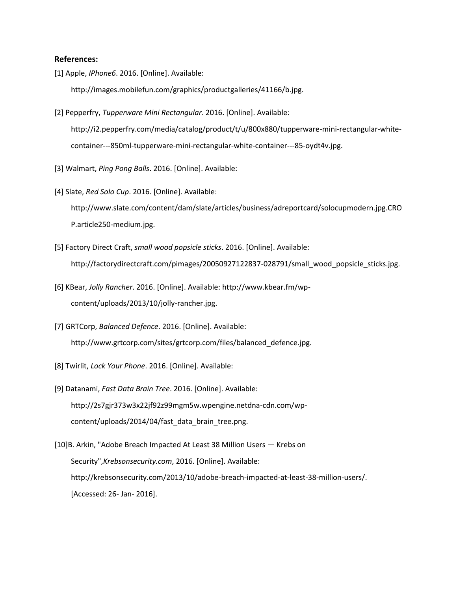#### **References:**

[1] Apple, *IPhone6*. 2016. [Online]. Available:

http://images.mobilefun.com/graphics/productgalleries/41166/b.jpg.

- [2] Pepperfry, *Tupperware Mini Rectangular*. 2016. [Online]. Available: http://i2.pepperfry.com/media/catalog/product/t/u/800x880/tupperware-mini-rectangular-whitecontainer---850ml-tupperware-mini-rectangular-white-container---85-oydt4v.jpg.
- [3] Walmart, *Ping Pong Balls*. 2016. [Online]. Available:
- [4] Slate, *Red Solo Cup*. 2016. [Online]. Available:

http://www.slate.com/content/dam/slate/articles/business/adreportcard/solocupmodern.jpg.CRO P.article250-medium.jpg.

- [5] Factory Direct Craft, *small wood popsicle sticks*. 2016. [Online]. Available: http://factorydirectcraft.com/pimages/20050927122837-028791/small\_wood\_popsicle\_sticks.jpg.
- [6] KBear, *Jolly Rancher*. 2016. [Online]. Available: http://www.kbear.fm/wpcontent/uploads/2013/10/jolly-rancher.jpg.
- [7] GRTCorp, *Balanced Defence*. 2016. [Online]. Available: http://www.grtcorp.com/sites/grtcorp.com/files/balanced\_defence.jpg.
- [8] Twirlit, *Lock Your Phone*. 2016. [Online]. Available:
- [9] Datanami, *Fast Data Brain Tree*. 2016. [Online]. Available: http://2s7gjr373w3x22jf92z99mgm5w.wpengine.netdna-cdn.com/wpcontent/uploads/2014/04/fast\_data\_brain\_tree.png.
- [10]B. Arkin, "Adobe Breach Impacted At Least 38 Million Users Krebs on Security",*Krebsonsecurity.com*, 2016. [Online]. Available: http://krebsonsecurity.com/2013/10/adobe-breach-impacted-at-least-38-million-users/. [Accessed: 26- Jan- 2016].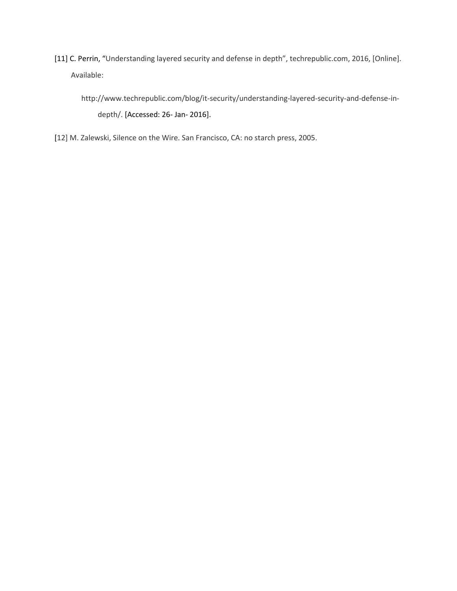[11] C. Perrin, "Understanding layered security and defense in depth", techrepublic.com, 2016, [Online]. Available:

http://www.techrepublic.com/blog/it-security/understanding-layered-security-and-defense-indepth/. [Accessed: 26- Jan- 2016].

[12] M. Zalewski, Silence on the Wire. San Francisco, CA: no starch press, 2005.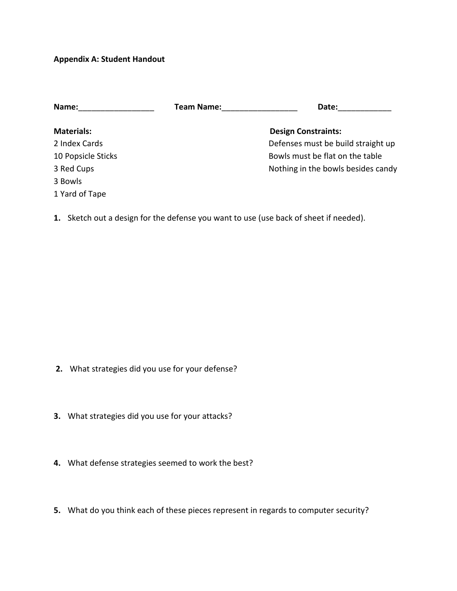### **Appendix A: Student Handout**

 $3<sup>1</sup>$ 

1 Yard of Tape

| Name:              | <b>Team Name:</b> | Date:                              |
|--------------------|-------------------|------------------------------------|
| <b>Materials:</b>  |                   | <b>Design Constraints:</b>         |
| 2 Index Cards      |                   | Defenses must be build straight up |
| 10 Popsicle Sticks |                   | Bowls must be flat on the table    |
| 3 Red Cups         |                   | Nothing in the bowls besides candy |
| 3 Bowls            |                   |                                    |

**1.** Sketch out a design for the defense you want to use (use back of sheet if needed).

- **2.** What strategies did you use for your defense?
- **3.** What strategies did you use for your attacks?
- **4.** What defense strategies seemed to work the best?
- **5.** What do you think each of these pieces represent in regards to computer security?